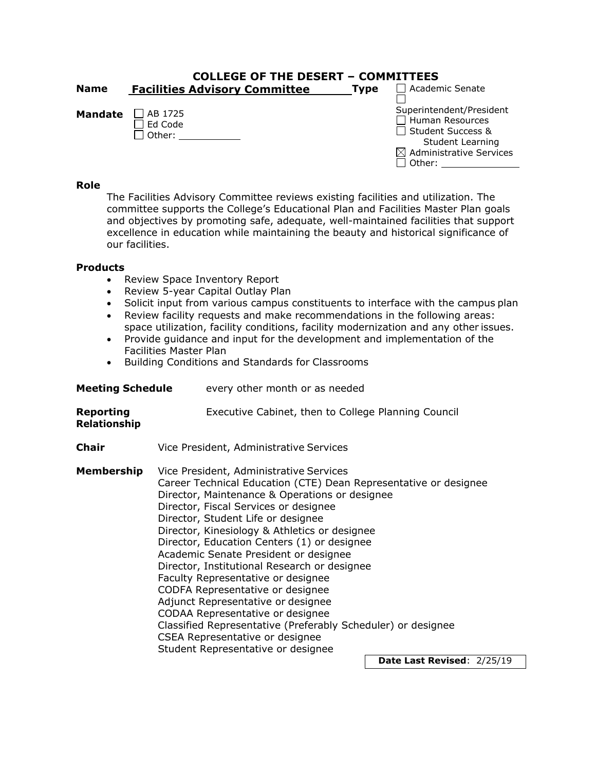# **COLLEGE OF THE DESERT – COMMITTEES Name** Facilities Advisory Committee Type

**Mandate**  $\Box$  AB 1725

Ed Code □ Other: \_\_\_\_\_\_\_\_\_ Superintendent/President □ Human Resources Student Success & Student Learning  $\boxtimes$  Administrative Services  $\Box$  Other:

#### **Role**

The Facilities Advisory Committee reviews existing facilities and utilization. The committee supports the College's Educational Plan and Facilities Master Plan goals and objectives by promoting safe, adequate, well-maintained facilities that support excellence in education while maintaining the beauty and historical significance of our facilities.

#### **Products**

- Review Space Inventory Report
- Review 5-year Capital Outlay Plan
- Solicit input from various campus constituents to interface with the campus plan
- Review facility requests and make recommendations in the following areas: space utilization, facility conditions, facility modernization and any other issues.
- Provide guidance and input for the development and implementation of the Facilities Master Plan
- Building Conditions and Standards for Classrooms

| <b>Meeting Schedule</b>          | every other month or as needed                                                                                                                                                                                                                                                                                                                                                                                                                                                                                                                                                                                                                                                                                                     |
|----------------------------------|------------------------------------------------------------------------------------------------------------------------------------------------------------------------------------------------------------------------------------------------------------------------------------------------------------------------------------------------------------------------------------------------------------------------------------------------------------------------------------------------------------------------------------------------------------------------------------------------------------------------------------------------------------------------------------------------------------------------------------|
| Reporting<br><b>Relationship</b> | Executive Cabinet, then to College Planning Council                                                                                                                                                                                                                                                                                                                                                                                                                                                                                                                                                                                                                                                                                |
| Chair                            | Vice President, Administrative Services                                                                                                                                                                                                                                                                                                                                                                                                                                                                                                                                                                                                                                                                                            |
| Membership                       | Vice President, Administrative Services<br>Career Technical Education (CTE) Dean Representative or designee<br>Director, Maintenance & Operations or designee<br>Director, Fiscal Services or designee<br>Director, Student Life or designee<br>Director, Kinesiology & Athletics or designee<br>Director, Education Centers (1) or designee<br>Academic Senate President or designee<br>Director, Institutional Research or designee<br>Faculty Representative or designee<br>CODFA Representative or designee<br>Adjunct Representative or designee<br>CODAA Representative or designee<br>Classified Representative (Preferably Scheduler) or designee<br>CSEA Representative or designee<br>Student Representative or designee |
|                                  | Date Last Revised: 2/25/19                                                                                                                                                                                                                                                                                                                                                                                                                                                                                                                                                                                                                                                                                                         |